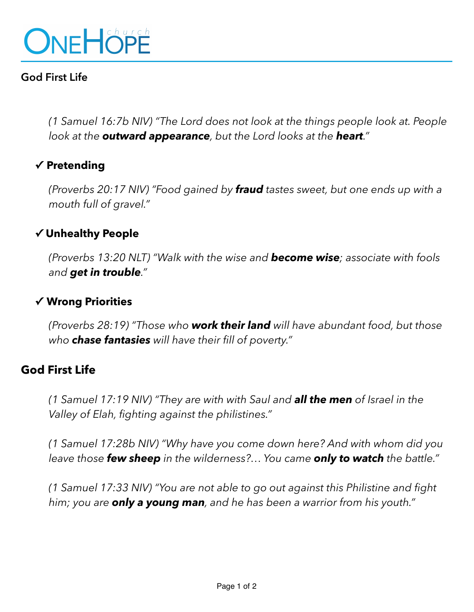

## **God First Life**

*(1 Samuel 16:7b NIV) "The Lord does not look at the things people look at. People look at the outward appearance, but the Lord looks at the heart."* 

### **✓ Pretending**

*(Proverbs 20:17 NIV) "Food gained by fraud tastes sweet, but one ends up with a mouth full of gravel."* 

#### **✓ Unhealthy People**

*(Proverbs 13:20 NLT) "Walk with the wise and become wise; associate with fools and get in trouble."* 

#### **✓ Wrong Priorities**

*(Proverbs 28:19) "Those who work their land will have abundant food, but those who chase fantasies will have their fill of poverty."* 

#### **God First Life**

*(1 Samuel 17:19 NIV) "They are with with Saul and all the men of Israel in the Valley of Elah, fighting against the philistines."* 

*(1 Samuel 17:28b NIV) "Why have you come down here? And with whom did you leave those few sheep in the wilderness?… You came only to watch the battle."* 

*(1 Samuel 17:33 NIV) "You are not able to go out against this Philistine and fight him; you are only a young man, and he has been a warrior from his youth."*